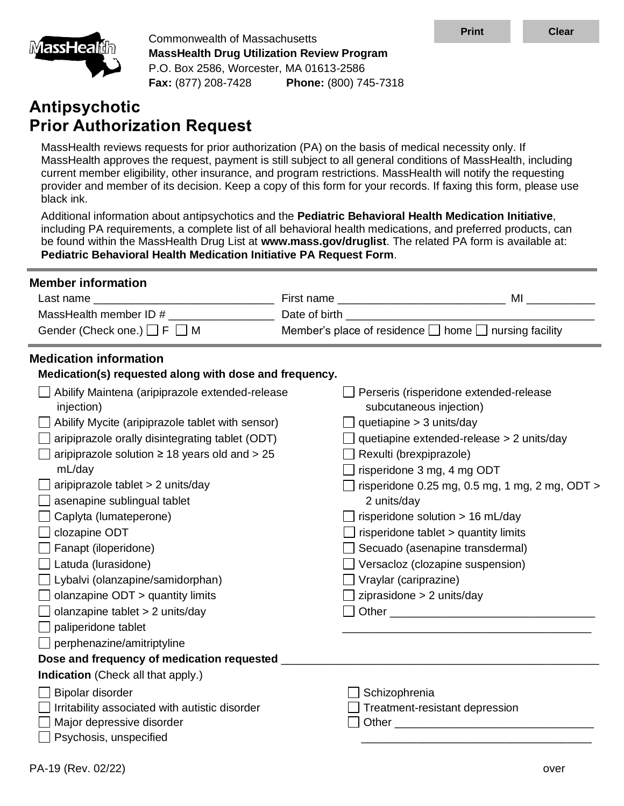

Commonwealth of Massachusetts **MassHealth Drug Utilization Review Program** P.O. Box 2586, Worcester, MA 01613-2586 **Fax:** (877) 208-7428 **Phone:** (800) 745-7318

# **Antipsychotic Prior Authorization Request**

MassHealth reviews requests for prior authorization (PA) on the basis of medical necessity only. If MassHealth approves the request, payment is still subject to all general conditions of MassHealth, including current member eligibility, other insurance, and program restrictions. MassHealth will notify the requesting provider and member of its decision. Keep a copy of this form for your records. If faxing this form, please use black ink.

Additional information about antipsychotics and the **Pediatric Behavioral Health Medication Initiative**, including PA requirements, a complete list of all behavioral health medications, and preferred products, can be found within the MassHealth Drug List at **www.mass.gov/druglist**. The related PA form is available at: **[Pediatric Behavioral Health Medication Initiative PA Request Form](https://mhdl.pharmacy.services.conduent.com/MHDL/pubpa.do)**.

| <b>Member information</b>                                     |                                                                                                                                                                                                                               |
|---------------------------------------------------------------|-------------------------------------------------------------------------------------------------------------------------------------------------------------------------------------------------------------------------------|
| Last name ________                                            |                                                                                                                                                                                                                               |
| MassHealth member ID # ______                                 |                                                                                                                                                                                                                               |
| Gender (Check one.) $\Box$ F $\Box$ M                         | Member's place of residence $\Box$ home $\Box$ nursing facility                                                                                                                                                               |
| <b>Medication information</b>                                 |                                                                                                                                                                                                                               |
| Medication(s) requested along with dose and frequency.        |                                                                                                                                                                                                                               |
| Abilify Maintena (aripiprazole extended-release<br>injection) | Perseris (risperidone extended-release<br>subcutaneous injection)                                                                                                                                                             |
| Abilify Mycite (aripiprazole tablet with sensor)              | quetiapine $>$ 3 units/day                                                                                                                                                                                                    |
| aripiprazole orally disintegrating tablet (ODT)               | quetiapine extended-release > 2 units/day                                                                                                                                                                                     |
| aripiprazole solution $\geq$ 18 years old and $>$ 25          | Rexulti (brexpiprazole)                                                                                                                                                                                                       |
| mL/day                                                        | risperidone 3 mg, 4 mg ODT                                                                                                                                                                                                    |
| aripiprazole tablet > 2 units/day                             | risperidone $0.25$ mg, $0.5$ mg, $1$ mg, $2$ mg, $ODT >$                                                                                                                                                                      |
| asenapine sublingual tablet                                   | 2 units/day                                                                                                                                                                                                                   |
| Caplyta (lumateperone)                                        | risperidone solution > 16 mL/day                                                                                                                                                                                              |
| clozapine ODT                                                 | risperidone tablet > quantity limits                                                                                                                                                                                          |
| Fanapt (iloperidone)                                          | Secuado (asenapine transdermal)                                                                                                                                                                                               |
| Latuda (lurasidone)                                           | Versacloz (clozapine suspension)                                                                                                                                                                                              |
| Lybalvi (olanzapine/samidorphan)                              | $\Box$ Vraylar (cariprazine)                                                                                                                                                                                                  |
| olanzapine ODT > quantity limits                              | ziprasidone > 2 units/day                                                                                                                                                                                                     |
| olanzapine tablet > 2 units/day                               |                                                                                                                                                                                                                               |
| paliperidone tablet                                           |                                                                                                                                                                                                                               |
| perphenazine/amitriptyline                                    |                                                                                                                                                                                                                               |
| Dose and frequency of medication requested _                  |                                                                                                                                                                                                                               |
| Indication (Check all that apply.)                            |                                                                                                                                                                                                                               |
| Bipolar disorder                                              | Schizophrenia                                                                                                                                                                                                                 |
| Irritability associated with autistic disorder                | Treatment-resistant depression                                                                                                                                                                                                |
| Major depressive disorder                                     | Other and the contract of the contract of the contract of the contract of the contract of the contract of the contract of the contract of the contract of the contract of the contract of the contract of the contract of the |
| Psychosis, unspecified                                        |                                                                                                                                                                                                                               |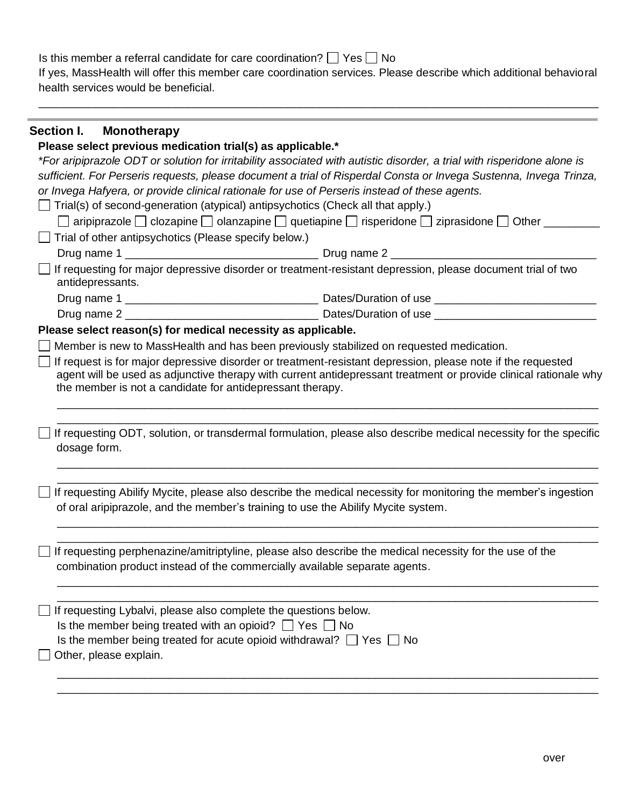Is this member a referral candidate for care coordination?  $\Box$  Yes  $\Box$  No If yes, MassHealth will offer this member care coordination services. Please describe which additional behavioral health services would be beneficial.

\_\_\_\_\_\_\_\_\_\_\_\_\_\_\_\_\_\_\_\_\_\_\_\_\_\_\_\_\_\_\_\_\_\_\_\_\_\_\_\_\_\_\_\_\_\_\_\_\_\_\_\_\_\_\_\_\_\_\_\_\_\_\_\_\_\_\_\_\_\_\_\_\_\_\_\_\_\_\_\_\_\_\_\_\_\_\_\_\_\_

# **Section I. Monotherapy**

#### **Please select previous medication trial(s) as applicable.\***

| onodo modioduon trailo, ao applica                                                                                                                                                                                                              | *For aripiprazole ODT or solution for irritability associated with autistic disorder, a trial with risperidone alone is                                                                                                         |
|-------------------------------------------------------------------------------------------------------------------------------------------------------------------------------------------------------------------------------------------------|---------------------------------------------------------------------------------------------------------------------------------------------------------------------------------------------------------------------------------|
|                                                                                                                                                                                                                                                 | sufficient. For Perseris requests, please document a trial of Risperdal Consta or Invega Sustenna, Invega Trinza,                                                                                                               |
| or Invega Hafyera, or provide clinical rationale for use of Perseris instead of these agents.                                                                                                                                                   |                                                                                                                                                                                                                                 |
| $\Box$ Trial(s) of second-generation (atypical) antipsychotics (Check all that apply.)                                                                                                                                                          |                                                                                                                                                                                                                                 |
|                                                                                                                                                                                                                                                 | □ aripiprazole □ clozapine □ olanzapine □ quetiapine □ risperidone □ ziprasidone □ Other _____                                                                                                                                  |
| $\Box$ Trial of other antipsychotics (Please specify below.)                                                                                                                                                                                    |                                                                                                                                                                                                                                 |
|                                                                                                                                                                                                                                                 |                                                                                                                                                                                                                                 |
| □ If requesting for major depressive disorder or treatment-resistant depression, please document trial of two<br>antidepressants.                                                                                                               |                                                                                                                                                                                                                                 |
|                                                                                                                                                                                                                                                 |                                                                                                                                                                                                                                 |
|                                                                                                                                                                                                                                                 |                                                                                                                                                                                                                                 |
| Please select reason(s) for medical necessity as applicable.                                                                                                                                                                                    |                                                                                                                                                                                                                                 |
| Member is new to MassHealth and has been previously stabilized on requested medication.                                                                                                                                                         |                                                                                                                                                                                                                                 |
| the member is not a candidate for antidepressant therapy.                                                                                                                                                                                       | If request is for major depressive disorder or treatment-resistant depression, please note if the requested<br>agent will be used as adjunctive therapy with current antidepressant treatment or provide clinical rationale why |
| dosage form.                                                                                                                                                                                                                                    | If requesting ODT, solution, or transdermal formulation, please also describe medical necessity for the specific                                                                                                                |
| of oral aripiprazole, and the member's training to use the Abilify Mycite system.                                                                                                                                                               | If requesting Abilify Mycite, please also describe the medical necessity for monitoring the member's ingestion                                                                                                                  |
| If requesting perphenazine/amitriptyline, please also describe the medical necessity for the use of the<br>combination product instead of the commercially available separate agents.                                                           |                                                                                                                                                                                                                                 |
| If requesting Lybalvi, please also complete the questions below.<br>Is the member being treated with an opioid? $\Box$ Yes $\Box$ No<br>Is the member being treated for acute opioid withdrawal? $\Box$ Yes $\Box$ No<br>Other, please explain. |                                                                                                                                                                                                                                 |
|                                                                                                                                                                                                                                                 |                                                                                                                                                                                                                                 |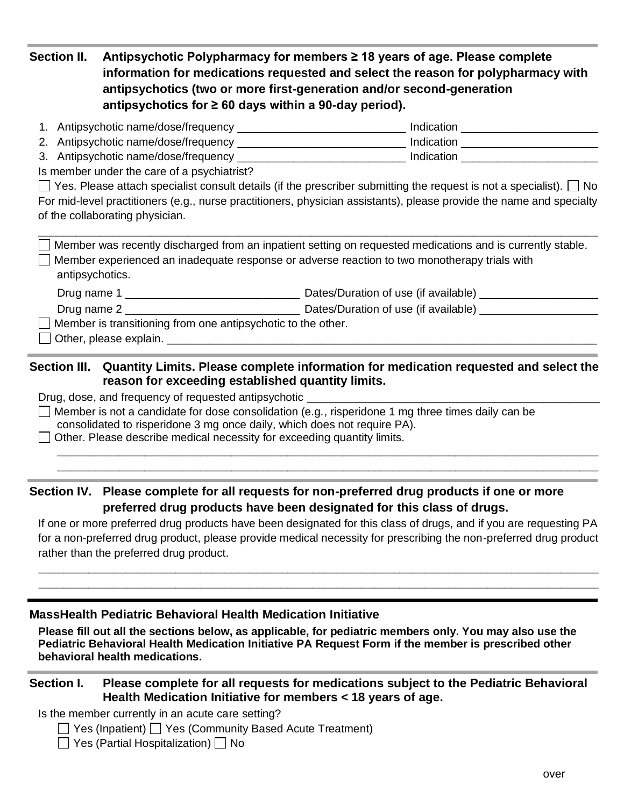**Section II. Antipsychotic Polypharmacy for members ≥ 18 years of age. Please complete information for medications requested and select the reason for polypharmacy with antipsychotics (two or more first-generation and/or second-generation antipsychotics for ≥ 60 days within a 90-day period).**

| 1. Antipsychotic name/dose/frequency | Indication |
|--------------------------------------|------------|
| 2. Antipsychotic name/dose/frequency | Indication |

3. Antipsychotic name/dose/frequency \_\_\_\_\_\_\_\_\_\_\_\_\_\_\_\_\_\_\_\_\_\_\_\_\_\_\_ Indication \_\_\_\_\_\_\_\_\_\_\_\_\_\_\_\_\_\_\_\_\_\_ Is member under the care of a psychiatrist?

 $\Box$  Yes. Please attach specialist consult details (if the prescriber submitting the request is not a specialist).  $\Box$  No For mid-level practitioners (e.g., nurse practitioners, physician assistants), please provide the name and specialty of the collaborating physician.

\_\_\_\_\_\_\_\_\_\_\_\_\_\_\_\_\_\_\_\_\_\_\_\_\_\_\_\_\_\_\_\_\_\_\_\_\_\_\_\_\_\_\_\_\_\_\_\_\_\_\_\_\_\_\_\_\_\_\_\_\_\_\_\_\_\_\_\_\_\_\_\_\_\_\_\_\_\_\_\_\_\_\_\_\_\_\_\_\_\_

 $\Box$  Member was recently discharged from an inpatient setting on requested medications and is currently stable.  $\Box$  Member experienced an inadequate response or adverse reaction to two monotherapy trials with antipsychotics.

| Drug name 1 | Dates/Duration of use (if available)                         |
|-------------|--------------------------------------------------------------|
| Drug name 2 | Dates/Duration of use (if available)                         |
|             | Member is transitioning from one antipsychotic to the other. |

Other, please explain. \_\_\_\_\_\_\_\_\_\_\_\_\_\_\_\_\_\_\_\_\_\_\_\_\_\_\_\_\_\_\_\_\_\_\_\_\_\_\_\_\_\_\_\_\_\_\_\_\_\_\_\_\_\_\_\_\_\_\_\_\_\_\_\_\_\_\_\_\_

### **Section III. Quantity Limits. Please complete information for medication requested and select the reason for exceeding established quantity limits.**

Drug, dose, and frequency of requested antipsychotic \_

Member is not a candidate for dose consolidation (e.g., risperidone 1 mg three times daily can be consolidated to risperidone 3 mg once daily, which does not require PA).

 $\Box$  Other. Please describe medical necessity for exceeding quantity limits.

# **Section IV. Please complete for all requests for non-preferred drug products if one or more preferred drug products have been designated for this class of drugs.**

If one or more preferred drug products have been designated for this class of drugs, and if you are requesting PA for a non-preferred drug product, please provide medical necessity for prescribing the non-preferred drug product rather than the preferred drug product.

\_\_\_\_\_\_\_\_\_\_\_\_\_\_\_\_\_\_\_\_\_\_\_\_\_\_\_\_\_\_\_\_\_\_\_\_\_\_\_\_\_\_\_\_\_\_\_\_\_\_\_\_\_\_\_\_\_\_\_\_\_\_\_\_\_\_\_\_\_\_\_\_\_\_\_\_\_\_\_\_\_\_\_\_\_\_\_\_\_\_ \_\_\_\_\_\_\_\_\_\_\_\_\_\_\_\_\_\_\_\_\_\_\_\_\_\_\_\_\_\_\_\_\_\_\_\_\_\_\_\_\_\_\_\_\_\_\_\_\_\_\_\_\_\_\_\_\_\_\_\_\_\_\_\_\_\_\_\_\_\_\_\_\_\_\_\_\_\_\_\_\_\_\_\_\_\_\_\_\_\_

\_\_\_\_\_\_\_\_\_\_\_\_\_\_\_\_\_\_\_\_\_\_\_\_\_\_\_\_\_\_\_\_\_\_\_\_\_\_\_\_\_\_\_\_\_\_\_\_\_\_\_\_\_\_\_\_\_\_\_\_\_\_\_\_\_\_\_\_\_\_\_\_\_\_\_\_\_\_\_\_\_\_\_\_\_\_\_ \_\_\_\_\_\_\_\_\_\_\_\_\_\_\_\_\_\_\_\_\_\_\_\_\_\_\_\_\_\_\_\_\_\_\_\_\_\_\_\_\_\_\_\_\_\_\_\_\_\_\_\_\_\_\_\_\_\_\_\_\_\_\_\_\_\_\_\_\_\_\_\_\_\_\_\_\_\_\_\_\_\_\_\_\_\_\_

# **MassHealth Pediatric Behavioral Health Medication Initiative**

**Please fill out all the sections below, as applicable, for pediatric members only. You may also use the [Pediatric Behavioral Health Medication Initiative PA Request Form](https://mhdl.pharmacy.services.conduent.com/MHDL/pubpa.do) if the member is prescribed other behavioral health medications.**

### **Section I. Please complete for all requests for medications subject to the Pediatric Behavioral Health Medication Initiative for members < 18 years of age.**

Is the member currently in an acute care setting?

 $\Box$  Yes (Inpatient)  $\Box$  Yes (Community Based Acute Treatment)

 $\Box$  Yes (Partial Hospitalization)  $\Box$  No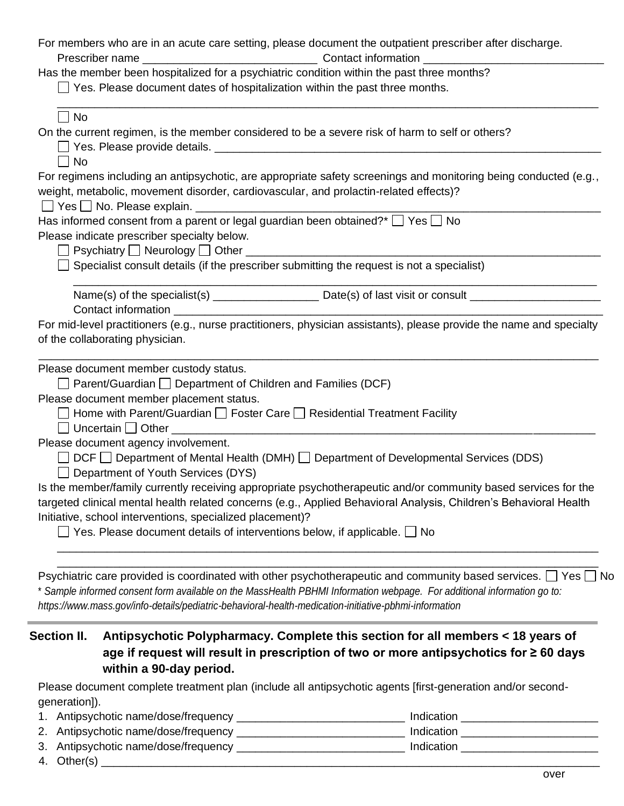| Psychiatric care provided is coordinated with other psychotherapeutic and community based services. $\Box$ Yes [<br>* Sample informed consent form available on the MassHealth PBHMI Information webpage. For additional information go to:<br>https://www.mass.gov/info-details/pediatric-behavioral-health-medication-initiative-pbhmi-information | ∣No |
|------------------------------------------------------------------------------------------------------------------------------------------------------------------------------------------------------------------------------------------------------------------------------------------------------------------------------------------------------|-----|
| $\Box$ Yes. Please document details of interventions below, if applicable. $\Box$ No                                                                                                                                                                                                                                                                 |     |
| targeted clinical mental health related concerns (e.g., Applied Behavioral Analysis, Children's Behavioral Health<br>Initiative, school interventions, specialized placement)?                                                                                                                                                                       |     |
| Is the member/family currently receiving appropriate psychotherapeutic and/or community based services for the                                                                                                                                                                                                                                       |     |
| Department of Youth Services (DYS)                                                                                                                                                                                                                                                                                                                   |     |
| Please document agency involvement.<br>$DCF \Box$ Department of Mental Health (DMH) $\Box$ Department of Developmental Services (DDS)                                                                                                                                                                                                                |     |
|                                                                                                                                                                                                                                                                                                                                                      |     |
| □ Home with Parent/Guardian □ Foster Care □ Residential Treatment Facility                                                                                                                                                                                                                                                                           |     |
| $\Box$ Parent/Guardian $\Box$ Department of Children and Families (DCF)<br>Please document member placement status.                                                                                                                                                                                                                                  |     |
| Please document member custody status.                                                                                                                                                                                                                                                                                                               |     |
| of the collaborating physician.                                                                                                                                                                                                                                                                                                                      |     |
| For mid-level practitioners (e.g., nurse practitioners, physician assistants), please provide the name and specialty                                                                                                                                                                                                                                 |     |
|                                                                                                                                                                                                                                                                                                                                                      |     |
| Specialist consult details (if the prescriber submitting the request is not a specialist)                                                                                                                                                                                                                                                            |     |
|                                                                                                                                                                                                                                                                                                                                                      |     |
| Please indicate prescriber specialty below.                                                                                                                                                                                                                                                                                                          |     |
| Has informed consent from a parent or legal guardian been obtained?* $\Box$ Yes $\Box$ No                                                                                                                                                                                                                                                            |     |
| weight, metabolic, movement disorder, cardiovascular, and prolactin-related effects)?                                                                                                                                                                                                                                                                |     |
| $\Box$ No<br>For regimens including an antipsychotic, are appropriate safety screenings and monitoring being conducted (e.g.,                                                                                                                                                                                                                        |     |
|                                                                                                                                                                                                                                                                                                                                                      |     |
| On the current regimen, is the member considered to be a severe risk of harm to self or others?                                                                                                                                                                                                                                                      |     |
| $\Box$ No                                                                                                                                                                                                                                                                                                                                            |     |
| $\Box$ Yes. Please document dates of hospitalization within the past three months.                                                                                                                                                                                                                                                                   |     |
| Has the member been hospitalized for a psychiatric condition within the past three months?                                                                                                                                                                                                                                                           |     |
|                                                                                                                                                                                                                                                                                                                                                      |     |

Please document complete treatment plan (include all antipsychotic agents [first-generation and/or secondgeneration]).

- 1. Antipsychotic name/dose/frequency \_\_\_\_\_\_\_\_\_\_\_\_\_\_\_\_\_\_\_\_\_\_\_\_\_\_\_ Indication \_\_\_\_\_\_\_\_\_\_\_\_\_\_\_\_\_\_\_\_\_\_ 2. Antipsychotic name/dose/frequency \_\_\_\_\_\_\_\_\_\_\_\_\_\_\_\_\_\_\_\_\_\_\_\_\_\_\_ Indication \_\_\_\_\_\_\_\_\_\_\_\_\_\_\_\_\_\_\_\_\_\_
- 3. Antipsychotic name/dose/frequency \_\_\_\_\_\_\_\_\_\_\_\_\_\_\_\_\_\_\_\_\_\_\_\_\_\_\_ Indication \_\_\_\_\_\_\_\_\_\_\_\_\_\_\_\_\_\_\_\_\_\_

**within a 90-day period.**

4. Other(s) \_\_\_\_\_\_\_\_\_\_\_\_\_\_\_\_\_\_\_\_\_\_\_\_\_\_\_\_\_\_\_\_\_\_\_\_\_\_\_\_\_\_\_\_\_\_\_\_\_\_\_\_\_\_\_\_\_\_\_\_\_\_\_\_\_\_\_\_\_\_\_\_\_\_\_\_\_\_\_\_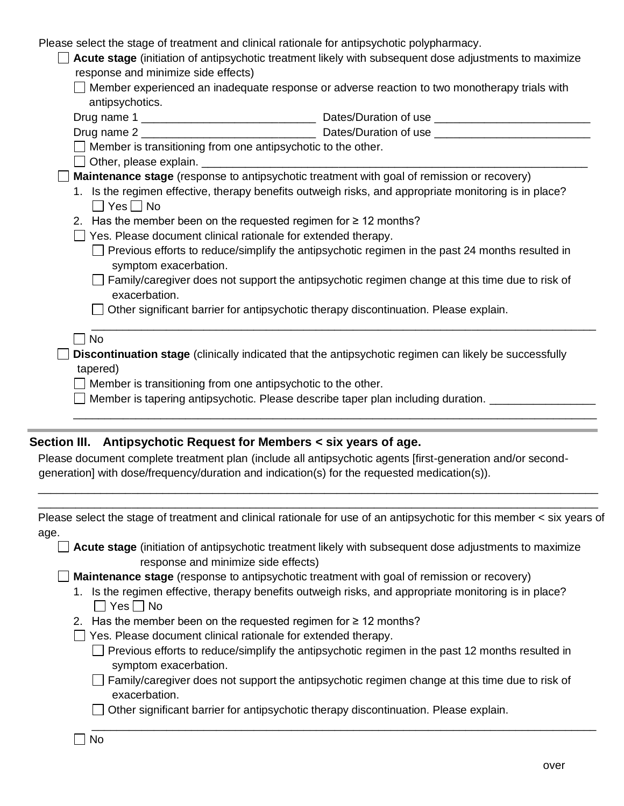| Please select the stage of treatment and clinical rationale for antipsychotic polypharmacy. |
|---------------------------------------------------------------------------------------------|
|---------------------------------------------------------------------------------------------|

|                                                                                                | Acute stage (initiation of antipsychotic treatment likely with subsequent dose adjustments to maximize |  |
|------------------------------------------------------------------------------------------------|--------------------------------------------------------------------------------------------------------|--|
| response and minimize side effects)                                                            |                                                                                                        |  |
| □ Member experienced an inadequate response or adverse reaction to two monotherapy trials with |                                                                                                        |  |
| antipsychotics.                                                                                |                                                                                                        |  |
|                                                                                                | Dates/Duration of use                                                                                  |  |
| Drug name 2                                                                                    | Dates/Duration of use                                                                                  |  |
| $\Box$ Member is transitioning from one antipsychotic to the other.                            |                                                                                                        |  |
| $\Box$ Other, please explain.                                                                  |                                                                                                        |  |

**Maintenance stage** (response to antipsychotic treatment with goal of remission or recovery)

- 1. Is the regimen effective, therapy benefits outweigh risks, and appropriate monitoring is in place?  $\Box$  Yes  $\Box$  No
- 2. Has the member been on the requested regimen for  $\geq 12$  months?
- $\Box$  Yes. Please document clinical rationale for extended therapy.
	- $\Box$  Previous efforts to reduce/simplify the antipsychotic regimen in the past 24 months resulted in symptom exacerbation.
	- $\Box$  Family/caregiver does not support the antipsychotic regimen change at this time due to risk of exacerbation.

\_\_\_\_\_\_\_\_\_\_\_\_\_\_\_\_\_\_\_\_\_\_\_\_\_\_\_\_\_\_\_\_\_\_\_\_\_\_\_\_\_\_\_\_\_\_\_\_\_\_\_\_\_\_\_\_\_\_\_\_\_\_\_\_\_\_\_\_\_\_\_\_\_\_\_\_\_\_\_\_\_\_\_\_

\_\_\_\_\_\_\_\_\_\_\_\_\_\_\_\_\_\_\_\_\_\_\_\_\_\_\_\_\_\_\_\_\_\_\_\_\_\_\_\_\_\_\_\_\_\_\_\_\_\_\_\_\_\_\_\_\_\_\_\_\_\_\_\_\_\_\_\_\_\_\_\_\_\_\_\_\_\_\_\_\_

- Other significant barrier for antipsychotic therapy discontinuation. Please explain.
- $\Box$  No

**Discontinuation stage** (clinically indicated that the antipsychotic regimen can likely be successfully tapered)

- $\Box$  Member is transitioning from one antipsychotic to the other.
- $\Box$  Member is tapering antipsychotic. Please describe taper plan including duration.  $\Box$

### **Section III. Antipsychotic Request for Members < six years of age.**

Please document complete treatment plan (include all antipsychotic agents [first-generation and/or secondgeneration] with dose/frequency/duration and indication(s) for the requested medication(s)).

| Please select the stage of treatment and clinical rationale for use of an antipsychotic for this member < six years of |  |
|------------------------------------------------------------------------------------------------------------------------|--|
| age.                                                                                                                   |  |

\_\_\_\_\_\_\_\_\_\_\_\_\_\_\_\_\_\_\_\_\_\_\_\_\_\_\_\_\_\_\_\_\_\_\_\_\_\_\_\_\_\_\_\_\_\_\_\_\_\_\_\_\_\_\_\_\_\_\_\_\_\_\_\_\_\_\_\_\_\_\_\_\_\_\_\_\_\_\_\_\_\_\_\_\_\_\_\_\_\_ \_\_\_\_\_\_\_\_\_\_\_\_\_\_\_\_\_\_\_\_\_\_\_\_\_\_\_\_\_\_\_\_\_\_\_\_\_\_\_\_\_\_\_\_\_\_\_\_\_\_\_\_\_\_\_\_\_\_\_\_\_\_\_\_\_\_\_\_\_\_\_\_\_\_\_\_\_\_\_\_\_\_\_\_\_\_\_\_\_\_

**Acute stage** (initiation of antipsychotic treatment likely with subsequent dose adjustments to maximize response and minimize side effects)

**Maintenance stage** (response to antipsychotic treatment with goal of remission or recovery)

- 1. Is the regimen effective, therapy benefits outweigh risks, and appropriate monitoring is in place?  $\Box$  Yes  $\Box$  No
- 2. Has the member been on the requested regimen for  $\geq 12$  months?
- $\Box$  Yes. Please document clinical rationale for extended therapy.
	- $\Box$  Previous efforts to reduce/simplify the antipsychotic regimen in the past 12 months resulted in symptom exacerbation.
	- $\Box$  Family/caregiver does not support the antipsychotic regimen change at this time due to risk of exacerbation.

\_\_\_\_\_\_\_\_\_\_\_\_\_\_\_\_\_\_\_\_\_\_\_\_\_\_\_\_\_\_\_\_\_\_\_\_\_\_\_\_\_\_\_\_\_\_\_\_\_\_\_\_\_\_\_\_\_\_\_\_\_\_\_\_\_\_\_\_\_\_\_\_\_\_\_\_\_\_\_\_\_

 $\Box$  Other significant barrier for antipsychotic therapy discontinuation. Please explain.

No